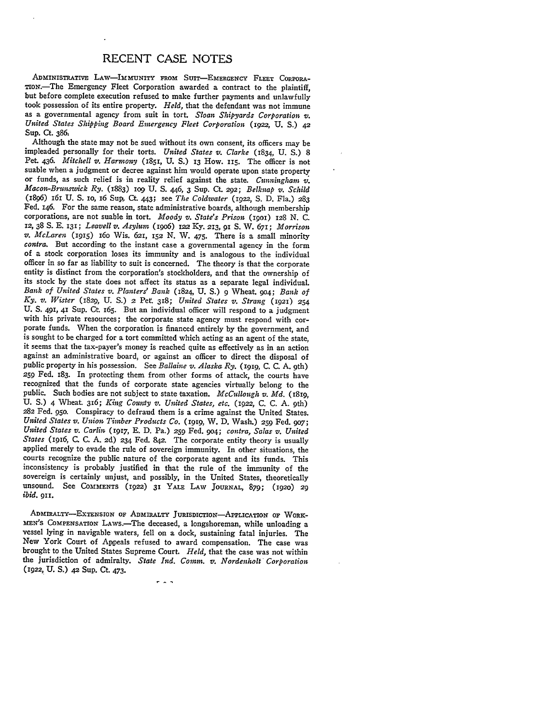## **RECENT CASE NOTES**

ADMINISTRATIVE LAW-IMMUNITY FROM SUIT-EMERGENCY FLEET CORPORA-TIoN.-The Emergency Fleet Corporation awarded a contract to the plaintiff, took possession of its entire property. Held, that the defendant was not immune<br>as a governmental agency from suit in tort. Sloan Shipyards Corporation v.<br>United States Shipping Board Emergency Fleet Corporation (1922, U.S Sup. Ct. 386,

Although the state may not be sued without its own consent, its officers may be impleaded personally for their torts. *United States v. Clarke* (1834, U. S.) 8 Pet. 436. *Mitchell v. Harmony* (1851, U. S.) 13 How. 115. The officer is not suable when a judgment or decree against him would operate upon state property or funds, as such relief is in reality relief against the state. *Cunningham V,. Macon-Brunswick Ry.* (1883) **lO9** U. **S.** 446, 3 Sup. Ct. 292; *Belknap v. Schild* (1896) 161 U. **S. 1O,** 16 Sup, Ct. 443; see *The Coldwater* **(1922, S.** D. Fla.) 283 Fed. 146. For the same reason, state administrative boards, although membership corporations, are not suable in tort. *Moody v. State's Prison* (IpoI) **128** N. C. 12, 38 **S. E. 131;** *Leavell v. Asylum* (igo6) **122** Ky. 213, 91 **S.** W. 671; *Morrison v. McLaren* (1915) 16o Wis. 621, 152 **N.** W. 475. There is a small minority *contra.* But according to the instant case a governmental agency in the form of a stock corporation loses its immunity and is analogous **to** the individual officer in so far as liability to suit is concerned. The theory is that the corporate entity is distinct from the corporation's stockholders, and that the ownership of its stock **by** the state does not affect its status as a separate legal individual. *Bank of United States v. Planter." Bank* (1824, **U. S.)** 9 Wheat. 904; *Bank of* **Ky.** *v. Wister* (1829, **U. S.) 2** Pet 318; *United States v. Strang* (1921) *<sup>254</sup>* U. **S.** 491, 41 Sup. Ct. 165. But an individual officer will respond to a judgment with his private resources; the corporate state agency must respond with cor-<br>porate funds. When the corporation is financed entirely by the government, and is sought to be charged for a tort committed which acting as an agent of the state, it seems that the tax-payer's money is reached quite as effectively as in an action against an administrative board, or against an officer to direct the disposal of public property in his possession. See *Ballaine v. Alaska Ry.* **(1919, C. C. A.** 9th) 259 Fed. 183. In protecting them from other forms of attack, the courts have recognized that the funds of corporate state agencies virtually belong to the public. Such bodies are not subject to state taxation. *McCullough v. Md.* (18ig, **U. S.)** 4 Wheat. 316; *King County v. United States, etc.* (1922, C. C. A. 9th) 282 Fed. 95o. Conspiracy to defraud them is a crime against the United States. *United States v. Union Timber Products Co.* **(1919,** W. D. Wash.) *259* Fed. 907; *United States v. Carlin* (1917, E. D. Pa.) **259** Fed. 9o4; *contra, Salas v. United States* (1916, C. C. A. 2d) 234 Fed. 842. The corporate entity theory is usually applied merely to evade the rule of sovereign immunity. In other situations, the courts recognize the public nature of the corporate agent and its funds. This inconsistency is probably justified in that the rule of the immunity of the sovereign is certainly unjust, and possibly, in the United States, theoretically unsound. See **COMMENTS** (1922) 31 YALE LAW **JOURNAL,** 879; (1920) *<sup>29</sup> ibid.* 911.

**ADMsIRALTY-EXTENSION** OF **ADMIRALTY JURISDICTION-APPLICATION** OF WORK-**MEN's COMPENSATION LAws.-The** deceased, a longshoreman, while unloading a vessel lying in navigable waters, fell on a dock, sustaining fatal injuries. The New York Court of Appeals refused to award compensation. The case was brought to the United States Supreme Court. *Held,* that the case was not within the jurisdiction of admiralty. *State* Ind. *Comm. v. Nordenholt Corporation* (1922, **U. S.)** 42 Sup. Ct. 473.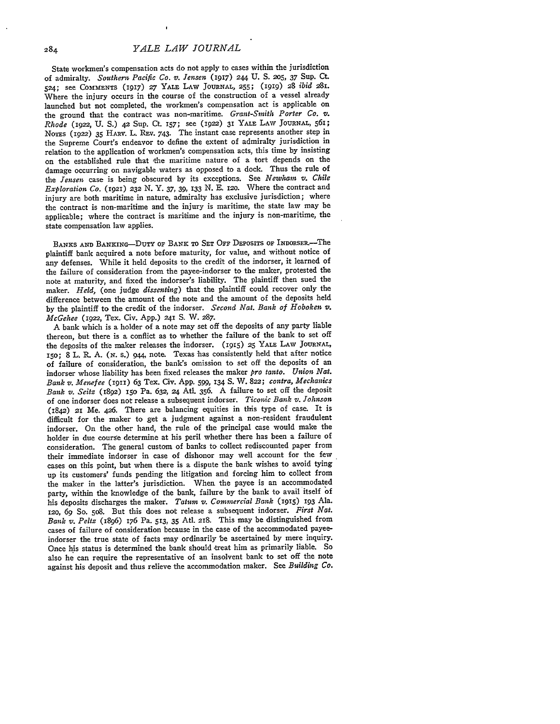State workmen's compensation acts do not apply to cases within the jurisdiction of admiralty. *Southern Pacific Co. v. Jensen* (1917) **244 U. S. 205,** *37* Sup. Ct. 524; see COMMENTS (1917) *27* YALE LAW **JOURNAL, 255;** (igig) 28 *ibid 281.* Where the injury occurs in the course of the construction of a vessel already launched but not completed, the workmen's compensation act is applicable on the ground that the contract was non-maritime. *Grant-Smith Porter Co. v. Rhode* (1922, U. S.) *42* Sup. Ct. **157;** see (1922) 31 YALE LAW JOURNAL, 561; NOTS (1922) 35 HARr. L. REv. 743. The instant case represents another step in the Supreme Court's endeavor to define the extent of admiralty jurisdiction in relation to the application of workmen's compensation acts, this time by insisting on the established rule that the maritime nature of a tort depends on the damage occurring on navigable waters as opposed to a dock. Thus the rule of the *Jensen* case is being obscured by its exceptions. See *Newham v. Chile Exploration Co.* (1921) *232* N. Y. 37, 39, 133 N. E. i2o. Where the contract and injury are both maritime in nature, admiralty has exclusive jurisdiction; where the contract is non-maritime and the injury is maritime, the state law may be applicable; where the contract is maritime and the injury is non-maritime, the state compensation law applies.

BANKS AND BANKING-DUTY OF BANK TO SET OFF DEPOSITS OF INDORSER.-The plaintiff bank acquired a note before maturity, for value, and without notice of any defenses. While it held deposits to the credit of the indorser, it learned of the failure of consideration from the payee-indorser to the maker, protested the note at maturity, and fixed the indorser's liability. The plaintiff then sued the maker. *Held,* (one judge *dissenting)* that the plaintiff could recover only the difference between the amount of the note and the amount of the deposits held by the plaintiff to the credit of the indorser. *Second Nat. Bank of Hoboken v. McGehee (1922,* Tex. Civ. App.) 241 **S.** W. 287.

A bank which is a holder of a note may set off the deposits of any party liable thereon, but there is a conflict as to whether the failure of the bank to set off the deposits of the maker releases the indorser. (915) **25** YALE LAW **JOURNAL,** i5o; 8 L. **R. A.** *(N.* s.) **944,** note. Texas has consistently held that after notice of failure of consideration, the bank's omission to set off the deposits of an indorser whose liability has been fixed releases the maker *pro tanto. Union Nat. Bank v. Menefee* (1911) 63 Tex. Civ. **App.** 599, **134 S.** W. **822;** *contra, Mechanics Bank v. Seitz* **(1892) 15o** Pa. 632, *24* Atl. **356.** A failure to set off the deposit of one indorser does not release a subsequent indorser. *Ticonic Bank v. Johnson* (1842) *21* Me. 426. There are balancing equities in this type of case. It is difficult for the maker to get a judgment against a non-resident fraudulent indorser. On the other hand, the rule of the principal case would make the holder in due course determine at his peril whether there has been a failure of consideration. The general custom of banks to collect rediscounted paper from their immediate indorser in case of dishonor may well account for the few cases on this point, but when there is a dispute the bank wishes to avoid tying up its customers' funds pending the litigation and forcing him to collect from the maker in the latter's jurisdiction. When the payee is an accommodated party, within the knowledge of the bank, failure by the bank to avail itself of his deposits discharges the maker. *Tatuin v. Commercial Bank (19I5)* **193** Ala. **12o,** *69* **So.** 5o8. But this does not release a subsequent indorser. *First Nat. Bank v. Peltz* (1896) 176 Pa. 513, 35 AtI. 218. This may be distinguished from cases of failure of consideration because in the case of the accommodated payeeindorser the true state of facts may ordinarily be ascertained by mere inquiry. Once his status is determined the bank should treat him as primarily liable. So also he can require the representative of an insolvent bank to set off the note against his deposit and thus relieve the accommodation maker. See *Building Co.*

284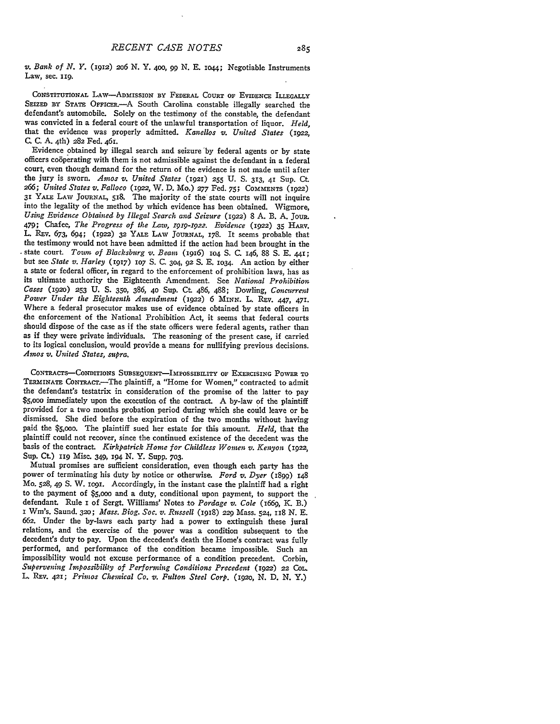*v. Bank of N. Y.* (1912) 2o6 **N.** Y. 400, **99 N. E.** io44; Negotiable Instruments Law, sec. **ii9.**

CONSTITUTIONAL LAw-ADMISSION BY FEDERAL COURT OF EVIDENCE ILLEGALLY SEIZED BY STATE OFFICER.--- A South Carolina constable illegally searched the defendant's automobile. Solely on the testimony of the constable, the defendant was convicted in a federal court of the unlawful transportation of liquor. *Held,* that the evidence was properly admitted. *Kanellos v. United States* (1922, C. C. A. 4th) 282 Fed. 461.

Evidence obtained by illegal search and seizure by federal agents or by state officers co6perating with them is not admissible against the defendant in a federal court, even though demand for the return of the evidence is not made until after the jury is sworn. *Amos v. United States* (1921) **255 U.** S. 313, 41 Sup. Ct *266; United States v. Falloco (i922,* W. D. Mo.) **277** Fed. 75; **COMMENTS** (1922) 31 YALE LAW **JOURNAL,** 518. The majority of the state courts will not inquire into the legality of the method by which evidence has been obtained. Wigmore, *Using Evidence Obtained by Illegal Search and Seizure* (1922) 8 A. B. A. JoUR. 479; Chafee, *The Progress of the Law, i919-1922. Evidence* (1922) 35 HAIv. L. REv. *673,* 694; (1922) **32** YALE LAW **JOURNAL,** 178. It seems probable that the testimony would not have been admitted if the action had been brought in the state court. *Towin of Blacksburg v. Beam* (1916) 1O4 **S.** C. 146, 88 **S.** E. 441; but see *State v. Harley* (1917) **107 S.** C. 304, 92 **S.** E. 1034. An action by either a state or federal officer, in regard to the enforcement of prohibition laws, has as its ultimate authority the Eighteenth Amendment. See *National Prohibition Cases* (1920) **253** U. **S. 350,** 386, 40 Sup. Ct 486, 488; Dowling, *Concurrent Power Under the Eighteenth Amendment* (1922) **6** MINN. L. REv. 447, 471. Where a federal prosecutor makes use of evidence obtained by state officers in the enforcement of the National Prohibition Act, it seems that federal courts should dispose of the case as if the state officers were federal agents, rather than as if they were private individuals. The reasoning of the present case, if carried to its logical conclusion, would provide a means for nullifying previous decisions. *Amos v. United States, supra.*

CONTRACTs-CONDITIONS SUBSEQUENT-IMPOSSIBILITY OF ExERcISING POWER TO TERMINATE CONTRACT.-The plaintiff, a "Home for Women," contracted to admit the defendant's testatrix in consideration of the promise of the latter to pay \$5,ooo immediately upon the execution of the contract. A by-law of the plaintiff provided for a two months probation period during which she could leave or be dismissed. She died before the expiration of the two months without having paid the \$5,ooo. The plaintiff sued her estate for this amount. *Held,* that the plaintiff could not recover, since the continued existence of the decedent was the basis of the contract. *Kirkpatrick Home for Childless Women v. Kenyon* (1922, Sup. Ct.) 119 Misc. 349, **194** N. Y. Supp. 703.

Mutual promises are sufficient consideration, even though each party has the power of terminating his duty by notice or otherwise. *Ford v. Dyer* (1899) 148 Mo. 528, 49 **S.** W. ic9i. Accordingly, in the instant case the plaintiff had a right to the payment of \$5,ooo and a duty, conditional upon payment, to support the defendant. Rule i of Sergt. Williams' Notes to *Pordage v. Cole (1669, K.* B.) I Win's. Saund. **320;** *Mass. Biog. Soc. v. Russell* (1918) *229* Mass. 524, 118 N. E. 662. Under the by-laws each party had a power to extinguish these jural relations, and the exercise of the power was a condition subsequent to the decedent's duty to pay. Upon the decedent's death the Home's contract was fully performed, and performance of the condition became impossible. Such an impossibility would not excuse performance of a condition precedent. Corbin, *Supervening Impossibility of Performing Conditions Precedent* (1922) 22 *COL.* L. **REv.** 421; *Primos Chemical Co. v. Fulton Steel Corp. (192o,* N. D. N. Y.)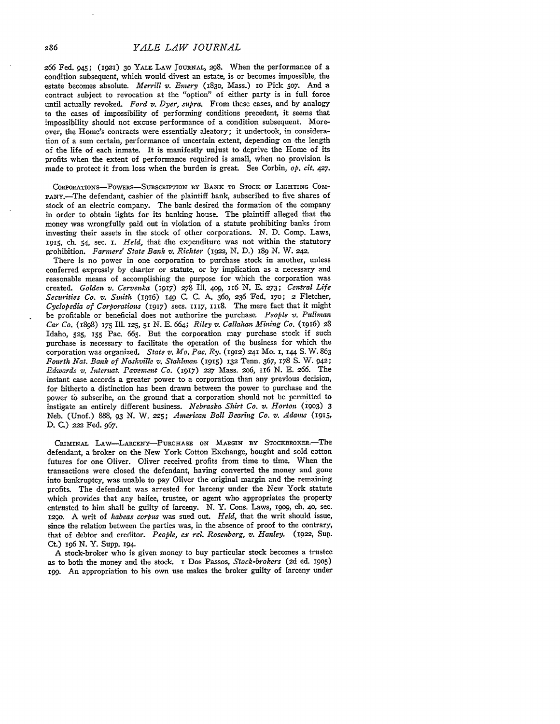266 Fed. 945; (1921) **30** YALE LAW JOURNAL, 298. When the performance of a condition subsequent, which would divest an estate, is or becomes impossible, the estate becomes absolute. *Merrill v. Emery* (183o, Mass.) io Pick 5o7. And a contract subject to revocation at the "option" of either party is in full force until actually revoked. *Ford v. Dyer, supra.* From these cases, and by analogy to the cases of impossibility of performing conditions precedent, it seems that impossibility should not excuse performance of a condition subsequent. Moreover, the Home's contracts were essentially aleatory; it undertook, in consideration of a sum certain, performance of uncertain extent, depending on the length of the life of each inmate. It is manifestly unjust to deprive the Home of its profits when the extent of performance required is small, when no provision is made to protect it from loss when the burden is great. See Corbin, *op. cit.* 427.

CORPORATIONS-POWERS-SUBSCRIPTION BY BANK TO STOCK OF LIGHTING COM-PANY.-The defendant, cashier of the plaintiff bank, subscribed to five shares of stock of an electric company. The bank desired the formation of the company in order to obtain lights for its banking house. The plaintiff alleged that the money was wrongfully paid out in violation of a statute prohibiting banks from investing their assets in the stock of other corporations. **N.** D. Comp. Laws, 1915, ch. 54, sec. I. *Held,* that the expenditure was not within the statutory prohibition. *Farmers' State Bank v. Richter* **(i922, N.** D.) 189 **N.** W. *242.*

There is no power in one corporation to purchase stock in another, unless conferred expressly by charter or statute, or by implication as a necessary and reasonable means of accomplishing the purpose for which the corporation was created. *Golden v. Cervenka* (1917) *278* Ill. **4o9,** 116 **N. E.** *273; Central Life Securities Co. v. Smith* (1916) **149 C. C. A.** 360, 236 Fed. I7o; 2 Fletcher, *Cyclopedia of Corporations* (1917) secs. **1117,** 1118. The mere fact that it might be profitable or beneficial does not authorize the purchase *People v. Pullman Car Co.* (1898) **175** Ill. 125, 51 **N. E.** 664; *Riley v. Callahan Mining Co.* (1916) 28 Idaho, **525, 155** Pac. **665.** But the corporation may purchase stock if such purchase is necessary to facilitate the operation of the business for which the corporation was organized. *State v. Mo. Pac. Ry.* (1912) **241** Mo. **I, 144 S.** W. 863 *Fourth Nat. Bank of Nashville v. Stahlman* (1915) **132** Tenn. 367, 178 **S.** W. 942; *Edwards v. Internat. Pavement Co.* (1917) **227** Mass. 206, 116 **N.** E. 266. The instant case accords a greater power to a corporation than any previous decision, for hitherto a distinction has been drawn between the power to purchase and the power to subscribe, on the ground that a corporation should not be permitted to instigate an entirely different business. *Nebraska Shirt Co. v. Horton* (i9o3) **3** Neb. (Unof.) 888, 93 **N.** W. **225;** *American Ball Bearing Co. v. Adams* (1915, **D. C.)** *222* Fed. 967.

CRiMINAL LAw--LARcEN'Y-PURCHASE **ON** MARGIN BY STOCKBRoxER.-The defendant, a broker on the New York Cotton Exchange, bought and sold cotton futures for one Oliver. Oliver received profits from time to time. When the transactions were closed the defendant, having converted the money and gone into bankruptcy, was unable to pay Oliver the original margin and the remaining profits. The defendant was arrested for larceny under the New York statute which provides that any bailee, trustee, or agent who appropriates the property entrusted to him shall be guilty of larceny. N. Y. Cons. Laws, **19o9,** ch. 40, sec. 1290. A writ of *habeas corpus* was sued out. *Held,* that the writ should issue, since the relation between the parties was, in the absence of proof to the contrary, that of debtor and creditor. *People, ex rel. Rosenberg, v. Hanley.* (1922, Sup. Ct) 196 **N.** Y. Supp. **194.**

A stock-broker who is given money to buy particular stock becomes a trustee as to both the money and the stock. I **Dos** Passos, *Stock-brokers* (2d ed. 1905) i99. An appropriation to his own use makes the broker guilty of larceny under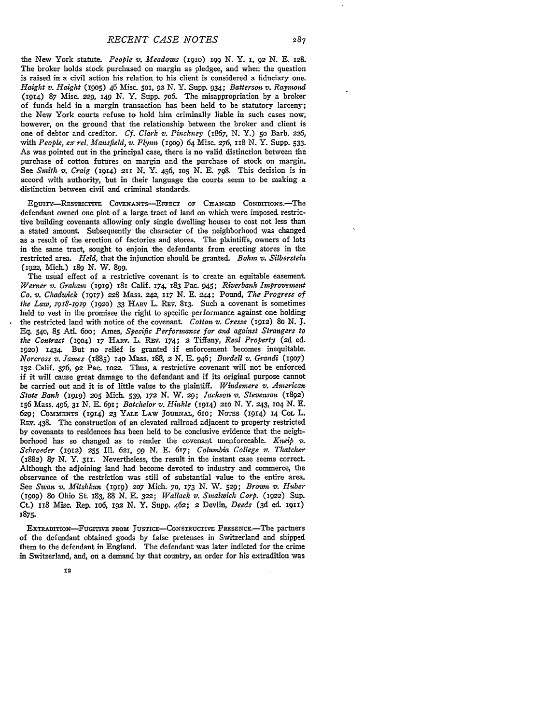*RECENT CASE NOTES*

the New York statute. *People v. Meadows* (igio) **I99** *N.* Y. *I,* 92 **N.** E. **128.** The broker holds stock purchased on margin as pledgee, and when the question is raised in a civil action his relation to his client is considered a fiduciary one. *Haight v. Haight* **(19o)** 46 Misc. **501,** 92 N. Y. Supp. 934; *Batterson v. Raymond* **(1914) 87** Misc. 229, 149 *N.* Y. Supp. 7o6. The misappropriation **by** a broker of funds held in a margin transaction has been held to be statutory larceny; the New York courts refuse to hold him criminally liable in such cases now, however, on the ground that the relationship between the broker and client is one of debtor and creditor. *Cf. Clark v. Pinckney (1867,* N. Y.) 5o Barb. *226,* with *People, ex rel. Mansfield, v. Flynn* (igog) 64 Misc. *276,* 118 N. Y. Supp. 533. As was pointed out in the principal case, there is no valid distinction between the purchase of cotton futures on margin and the purchase of stock on margin. See *Smith v. Craig* **(1914)** 211 N. Y. 456, io5 N. E. 798. This decision is in accord with authority, but in their language the courts seem to be making a distinction between civil and criminal standards.

EQUITY-RETRIcIvE COVENANTS-EFFECT OF **CHANGED** CoNDrrIONs.-The defendant owned one plot of a large tract of land on which were imposed restrictive building covenants allowing only single dwelling houses to cost not less than a stated amount. Subsequently the character of the neighborhood was changed as a result of the erection of factories and stores. The plaintiffs, owners of lots in the same tract, sought to enjoin the defendants from erecting stores in the restricted area. *Held,* that the injunction should be granted. *Bohm v. Silberstein* (1922, Mich.) **189 N.** W. **899.**

The usual effect of a restrictive covenant is to create an equitable easement. *Werner v. Graham* **(i919)** 181 Calif. 174, 183 Pac. 945; *Riverbank Improvement Co. v. Chadwick* (1917) **228** Mass. 242, *117* **N.** E. 244; Pound, *The Progress of the Law, i9p8-x9P9 (1920)* **33** HARv L. Rav. **813.** Such a covenant is sometimes held to vest in the promisee the right to specific performance against one holding the restricted land with notice of the covenant. *Cotton v. Cresse* (1912) 80 **N.** *J.* **Eq.** 540, **85** Atl. 6oo; Ames, *Specific Performance for and against Strangers to the Contract* (19o4) **17** HARV. L. REv. 174; 2 Tiffany, *Real Property* **(2d** ed. **1920)** 1434. But no relief is granted if enforcement becomes inequitable. *Norcross v. fames* (1885) **140** Mass. 188, **2 N. E.** 946; *Burdell v. Grandi (i9o7)* **152** Calif. *376,* **92** Pac. io22. Thus, a restrictive covenant will not be enforced if it will cause great damage to the defendant and if its original purpose cannot be carried out and it is of little value to the plaintiff. *Windemere v. American State Bank* **(1919) 205** Mich. 539, **172 N.** W. **29;** *Jackson v. Stevenson* (1892) 156 Mass. 496, 31 N. E. *69I; Batchelor v. Hinkle* (1914) **21o N. Y.** 243, **1O4** N. E. 629; CommEmNTs (1914) **23** YALE LAW **JOURNAL,** 61o; NoTS (1914) **14** COL L. REV. 438. The construction of an elevated railroad adjacent to property restricted **by** covenants to residences has been held to be conclusive evidence that the neighborhood has so changed as to render the covenant unenforceable. *Kneip v.*  $Schroeder$  (1912) 255 Ill. 621, 99 N. E. 617; *Columbia College v. Thatcher* (1882) 87 **N.** Y. **311.** Nevertheless, the result in the instant case seems correct. Although the adjoining land had become devoted to industry and commerce, the observance of the restriction was still of substantial value to the entire area. See *Swan v. Mitshkun* (1919) **207** Mich. **70,** 173 **N.** W. **529;** *Brown v. Huber* (i9o9) 8o Ohio St 183, 88 *N.* **E. 322;** *Wallack v. Smalwich Corp.* **(1922)** Sup. Ct) **II8** Misc. Rep. io6, 192 **N.** Y. Supp. 462; 2 Devlin, *Deeds* (3d ed. **1911)** 1875.

EXTRADITION-FUGITIVE FROM JUSTICE-CONSTRUCTIVE PRESENCE.-The partners of the defendant obtained goods by false pretenses in Switzerland and shipped them to the defendant in England. The defendant was later indicted for the crime in Switzerland, and, on a demand by that country, an order for his extradition was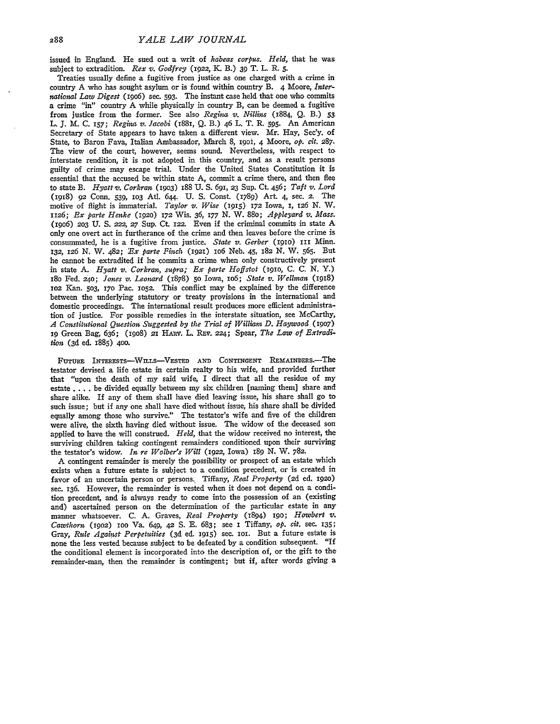issued in England. He sued out a writ of *habeas corpus. Held,* that he was subject to extradition. *Rex v. Godfrey* (1922, *K.* B.) **39** T. L. R. **5.**

Treaties usually define a fugitive from justice as one charged with a crime in country A who has sought asylum or is found within country B. 4 Moore, *International Law Digest* (i9o6) sec. **593.** The instant case held that one who commits a crime "in" country A while physically in country B, can be deemed a fugitive from justice from the former. See also *Regina v. Nillins* (1884, Q. B.) **53** L. **J.** M. C. 157; *Regina v. Jacobi* (1881, Q. B.) 46 L. T. R. 595. An American Secretary of State appears to have taken a different view. Mr. Hay, Sec'y. of State, to Baron Fava, Italian Ambassador, March 8, 190i, 4 Moore, *op. cit. 287.* The view of the court, however, seems sound. Nevertheless, with respect to interstate rendition, it is not adopted in this country, and as a result persons guilty of crime may escape trial. Under the United States Constitution it is essential that the accused be within state A, commit a crime there, and then flee to state B. *Hyatt v. Corkran* (19o3) I88 U. **S.** 691, **23** Sup. Ct. 456; *Taft v. Lord* (1918) 92 Conn. 539, **1O3** AtI. 644. U. S. Const. (1789) Art 4, sec. **2.** The motive of flight is immaterial. *Taylor v. Wise* (1915) 172 Iowa, 1, 126 N. W. 1126; *Ex parte Henke* **(1920)** 172 Wis. 36, 177 N. W. 88o; *Appleyard v. Mass.* (19o6) **203** U. **S.** *222, 27* Sup. Ct. 122. Even if the criminal commits in state A only one overt act in furtherance of the crime and then leaves before the crime is consummated, he is a fugitive from justice. *State v. Gerber* **(191o)** III Minn. 132, **126** *N.* W. 482; *:Ex parte Pinch* **(1921)** lo6 Neb. 45, 182 N. W. **565.** But he cannot be extradited if he commits a crime when only constructively present in state A. *Hyatt v. Corkran, supra; Ex parte Hoffstot* (igio, C. C. **N.** Y.) **18o** Fed. **24o;** *Jones v. Leonard* (1878) 5o Iowa, io6; *State v. Wellnzan* (1918) **1O2** Kan. 503, **170** Pac. 1O52. This conflict may be explained by the difference between the underlying statutory or treaty provisions in the international and domestic proceedings. The international result produces more efficient administration of justice. For possible remedies in the interstate situation, see McCarthy, *A Constitutional Question Suggested by the Trial of William D. Haywood* (19o7) 1g Green Bag, 636; (19o8) **21** HIAv. L. REv. 224; Spear, *The Law of Extradition* (3d ed. 1885) 400.

**FUTURE** INTERESTs-WnH.S-VESTED **AND CONTINGENT REMAINDRS.-The** testator devised a life estate in certain realty to his wife, and provided further that "upon the death of my said **wife,** I direct that all the residue of my estate .... be divided equally between my six children [naming them] share and share alike. If any of them shall have died leaving issue, his share shall go to such issue; but if any one shall have died without issue, his share shall be divided equally among those who survive." The testator's wife and five of the children were alive, the sixth having died without issue. The widow of the deceased son applied to have the will construed. *Held,* that the widow received no interest, the surviving children taking contingent remainders conditioned upon their surviving the testator's widow. *In re Wolber's Will* (1922, Iowa) 189 **N.** W. 782.

A contingent remainder is merely the possibility or prospect of an estate which exists when a future estate is subject to a condition precedent, or 'is created in favor of an uncertain person or persons. Tiffany, *Real Property* (2d ed. 192o) sec. 136. However, the remainder is vested when it does not depend on a condition precedent, and is always ready to come into the possession of an (existing and) ascertained person on the determination of the particular estate in any manner whatsoever. C. A. Graves, *Real Property* (1894) 19o; *Howbert v. Cawthorn* **(19o2)** ioo Va. 649, **42** S. E. 683; see I Tiffany, *op. cit.* sec. **135;** Gray, *Rule Against Perpetuities* (3d ed. 1915) sec. ioi. But a future estate is none the less vested because subject to be defeated by a condition subsequent. "If the conditional element is incorporated into the description of, or the gift to the remainder-man, then the remainder is contingent; but if, after words giving a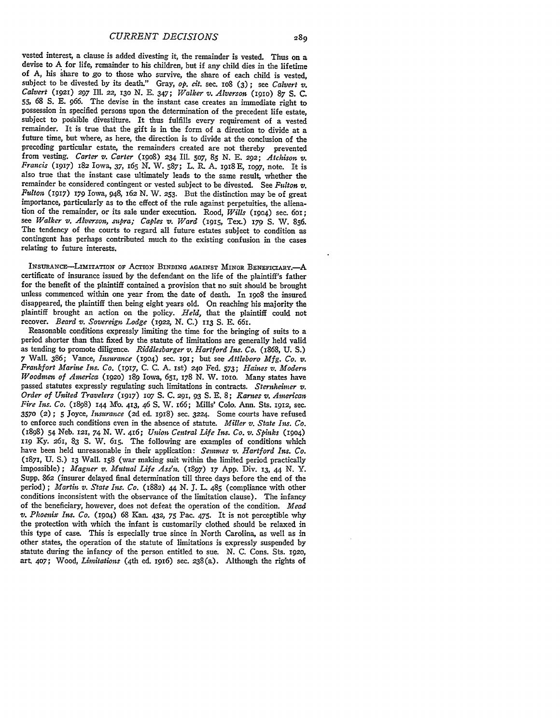vested interest, a clause is added divesting it, the remainder is vested. Thus on a devise to A for life, remainder to his children, but if any child dies in the lifetime of A, his share to go to those who survive, the share of each child is vested, subject to be divested by its death." Gray,  $\mathfrak{op}.$  cit. sec. 108 (3); see *Calvert v*. subject to be divested by its death." Gray, *op. cit.* sec. io8 (3) ; see *Calvert v. Calvert* (1921) **297** Ill. **22,** 13o N. E. 347; *Walker v. Alverson* (igio) 87 S. C. **55,** *68* **S.** E. 966. The devise in the instant case creates an immediate right to possession in specified persons upon the determination of the precedent life estate, subject to possible divestiture. It thus fulfills every requirement of a vested remainder. It is true that the gift is in the form of a direction to divide at a future time, but where, as here, the direction is to divide at the conclusion of the preceding particular estate, the remainders created are not thereby prevented from vesting. *Carter v. Carter* (i9o8) 234 Ill. 5o7, **85** N. E. **292;** *Atchison v. Francis* (1917) 182 Iowa, 37, 165 N. W. 587; L. R. A. 1918 **E,** lO97, note. It is also true that the instant case ultimately leads to the same result, whether the remainder be considered contingent or vested subject to be divested. See *Fulton v. Fulton* (1917) 179 Iowa, 948, 162 N. W. 253. But the distinction may be of great importance, particularly as to the effect of the rule against perpetuities, the alienation of the remainder, or its sale under execution. Rood, *Wills* (1904) sec. 601 see *Walker v. Alverson, supra; Caples v. Ward* (1915, Tex.) 179 S. W. 856. The tendency of the courts to regard all future estates subject to condition as contingent has perhaps contributed much to the existing confusion in the cases relating to future interests.

INSURANCE-LIMITATION OF ACTION BINDING AGAINST MINOR BENEFICIARY.<sup>4</sup> certificate of insurance issued **by** the defendant on the life of the plaintiff's father for the benefit of the plaintiff contained a provision that no suit should be brought unless commenced within one year from the date of death. In 19o8 the insured disappeared, the plaintiff then being eight years old. On reaching his majority the plaintiff brought an action on the policy. *Teld,* that the plaintiff could not recover. *Beard v. Sovereign Lodge* (1922, **N. C.)** 113 **S. E.** 661.

Reasonable conditions expressly limiting the time for the bringing of suits to a period shorter than that fixed by the statute of limitations are generally held valid as tending to promote diligence. *Riddlesbarger v. Hart* Frankfort Marine Ins. Co. (1917, C. C. A. 1st) 240 Fed. 573; Haines v. Modern *Woodmen of America* (1920) <sup>189</sup> Iowa, 651, 178 N. W. 1010. Many states have passed statutes expressly regulating such limitations in contracts. *Sternheiner v. Order of United Travelers* (1917) **107 S.** C. **291,** 93 S. E. 8; *Karnes v. American Fire Ins. Co.* (1898) 144 **Mb.** 413, 46 **S.** W. 166; Mills' Colo. Ann. Sts. 1912, sec. **3570** (2) **; 5** Joyce, *Insurance* **(2d** ed. 1918) sec. 3224. Some courts have refused to enforce such conditions even in the absence of statute. *Miller v. State Ins. Co.* (1898) 54 Neb. **121,** 74 N. W. 416; *Union Central Life Ins. Co. v. Spinks* (1904) **119** Ky. *261,* 83 **S.** W. 615. The following are examples of conditions which have been held unreasonable in their application: *Semmes v. Hartford Ins. Co.* (1871, **U. S.) 13** Wall. 158 (war making suit within the limited period practically impossible) **;** *Magner v. Mutual Life Ass'n1.* (1897) 17 App. Div. **13,** 44 N. Y. Supp. *862* (insurer delayed final determination till three days before the end of the period); *Martin v. State Ins. Co.* (1882) 44 N. J. L. 485 (compliance with other conditions inconsistent with the observance of the limitation clause). The infancy of the beneficiary, however, does not defeat the operation of the condition. *Mead v. Phoenix Ins. Co.* (19o4) 68 Kan. 432, 75 Pac. 475. It is not perceptible why the protection with which the infant is customarily clothed should be relaxed in this type of case. This is especially true since in North Carolina, as well as in other states, the operation of the statute of limitations is expressly suspended by statute during the infancy of the person entitled to sue. N. C. Cons. Sts. **192o,** art. 407; Wood, *Limitations* (4th ed. 1916) sec. 238(a). Although the rights of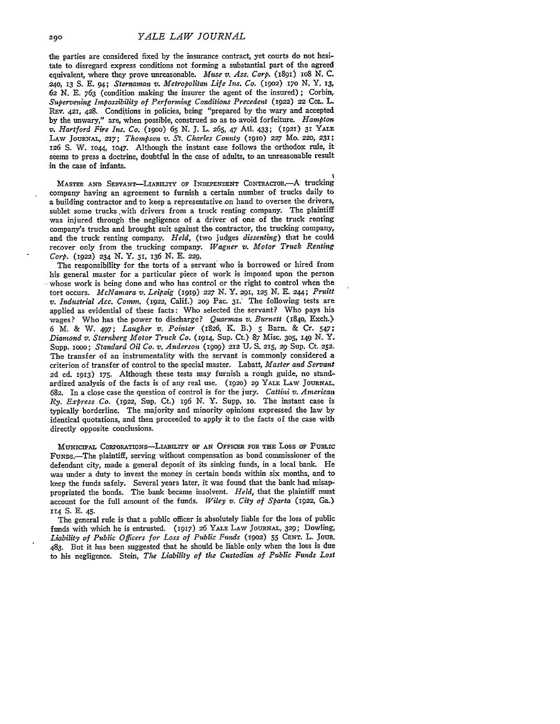the parties are considered fixed by the insurance contract, yet courts do not hesitate to disregard express conditions not forming a substantial part of the agreed equivalent, where they prove unreasonable. *Muse v. Ass. Corp.* (1891) 108 N. C. 240, **13** S. E. 94; *Sternaman v. Metropolitan Life Ins. Co.* (I9O2) *17o* N. Y. **13,** *62 N.* E. 763 (condition making the insurer the agent of the insured) ; Corbin, *Supervening Impossibility of Performing Conditions Precedent* (1922) 22 COL. L. REv. **421,** 428. Conditions in policies, being "prepared by the wary and accepted by the unwary," are, when possible, construed so as to avoid forfeiture. *Hampton v. Hartford Fire Ins. Co.* (igoo) 65 N. **J.** L. 265, 47 At!. 433; (1921) **31 YALE** LAW **JOURNAL,** 217; *Thompson v. St. Charles County* **(1910) 227** Mo. **220,** 231; **126 S.** W. **io44, 1O47.** Although the instant case follows the orthodox rule, it seems to press a doctrine, doubtful in the case of adults, to an unreasonable result in the case of infants.

MASTER AND SERVANT-LIABILITY OF INDEPENDENT CONTRACTOR.<sup>--</sup>A trucking company having an agreement to furnish a certain number of trucks daily to a building contractor and to keep a representative on hand to oversee the drivers, sublet some trucks ,with drivers from a truck renting company. The plaintiff was injured through the negligence of a driver of one of the truck renting company's trucks and brought suit against the contractor, the trucking company, and the truck renting company. *Held,* (two judges *dissenting)* that he could recover only from the trucking company. *Wagner v. Motor Truck Renting Corp.* (1922) **234 N. Y.** 31, 136 N. E. **229.**

The responsibility for the torts of a servant who is borrowed or hired from his general master for a particular piece of work is imposed upon the person whose work is being done and who has control or the right to control when the tort occurs. *McNamara v. Leipzig* (igig) *227* **N.** Y. 291, **125** N. E. **244;** *Pruitt v. Industrial Acc. Comm.* (1922, Calif.) *2o9* Pac. **31.'** The following tests are applied as evidential of these facts: Who selected the servant? Who pays his wages? Who has the power to discharge? *Quarman v. Burnett* (184o, Exch.> 6 M. & W. 497; *Laugher v. Pointer* (1826, K. B.) **5** Barn. & Cr. 547; *Diamond v. Sternberg Motor Truck Co.* (1914, Sup. Ct.) 87 Misc. **305, 149 N.** Y. Supp. iooo; *Standard Oil Co. v. Anderson (199o)* 212 *U,* **S.** 215, 29 Sup. Ct. **252.** The transfer of an instrumentality with the servant is commonly considered a criterion of transfer of control to the special master. Labatt, *Master and Servant* **2d** ed. 1913) 175. Although these tests may furnish a rough guide, no standardized analysis of the facts is of any real use. **(1920)** 29 YALE LAW JOURNAL. 682. In a close case the question of control is for the jury. *Cattini v. American Ry. Express Co.* (1922, Sup. Ct.) 196 N. Y. Supp. io. The instant case is typically borderline. The majority and minority opinions expressed the law by identical quotations, and then proceeded to apply it to the facts of the case with directly opposite conclusions.

**MUNICIPAL** CoRPORATIONs-LABILITY **OF AN OFFICER FOR THE** Loss **OF PUBLIC** FuNDs.-The plaintiff, serving without compensation as bond commissioner of the defendant city, made a general deposit of its sinking funds, in a local bank. He was under a duty to invest the money in certain bonds within six months, and to keep the funds safely. Several years later, it was found that the bank had misappropriated the bonds. The bank became insolvent. *Held,* that the plaintiff must account for the full amount of the funds. *Wiley v. City of Sparta* (1922, Ga.) **114 S. E.** 45.

The general rule is that a public officer is absolutely liable for the loss of public funds with which he is **entrusted. (1917)** *26* **YALE LAW JOURNAL, 329; Dowling,** *Liability of Public Officers for Loss of Public Funds* **(1902)** 55 **CENT.** L. **JouR.** 483. But it has been suggested that he should be liable only when the loss is due to his negligence. Stein, *The Liability of the Custodian of Public Funds Lost*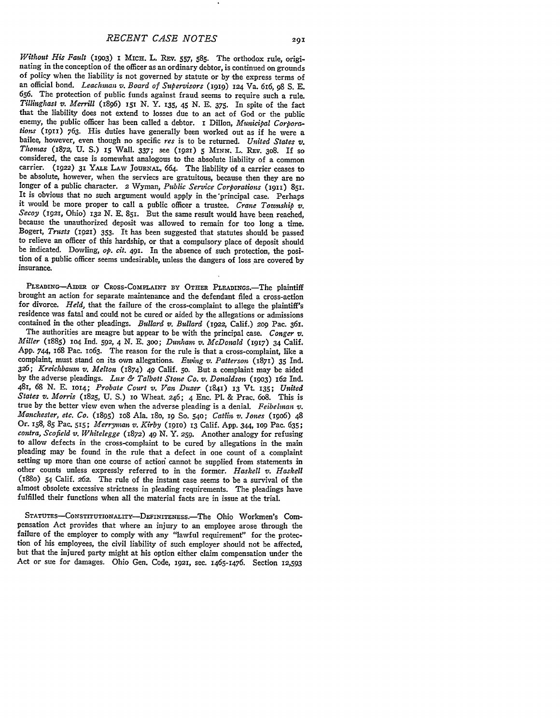Without His Fault (1903) 1 MICH, L. REV. 557, 585. The orthodox rule, originating in the conception of the officer as an ordinary debtor, is continued on grounds of policy when the liability is not governed by statute or **656.** The protection of public funds against fraud seems to require such a rule. *Tillinghast v. Merrill* (I896) **15I N.** Y. 135, 45 **N.** E. **375.** In spite of the fact that the liability does not extend to losses due to an act of God or the public enemy, the public officer has been called a debtor. I Dillon, Municipal Corpora*tions* (1911) 763. His duties have generally been worked out as if he were a bailee, however, even though no specific res is to be returned. *United States v*, *Thomas* (1872, U. S.) 15 Wall. 337; see (1921) 5 MINN, L. R be absolute, however, when the serviecs are gratuitous, because then they are no longer of a public character. 2 Wyman, *Public Service Corporations* (i911) **851.** it would be more proper to call a public officer a trustee. Crane Township v.<br>Secoy (1921, Ohio) 132 N. E. 851. But the same result would have been reached,<br>because the unauthorized deposit was allowed to remain for too l Bogert, Trusts (1921) 353. It has been suggested that statutes should be passed to relieve an officer of this hardship, or that a compulsory place of deposit should be indicated. Dowling, *op. cit.* 491. In the absence of such protection, the position of a public officer seems undesirable, unless the dangers of loss are covered by insurance.

**PLEADING-AIDER OF** CROss-COMPLAINT **BY** OTHER PLEADINGs.-The plaintiff brought an action for separate maintenance and the defendant filed a cross-action for divorce. *Held,* that the failure of the cross-complaint to allege the plaintiff's residence was fatal and could not be cured or aided **by** the allegations or admissions contained in the other pleadings. *Bullard v. Bullard* (1922, Calif.) **209** Pac. 361.

The authorities are meagre but appear to be with the principal case. *Conger v. Miller* (1885) **1O4** Ind. *592,* 4 N. E. *300; Dudam v. McDonald* (1917) 34 Calif. **App.** 744, 168 Pac. **1O63.** The reason for the rule is that a cross-complaint, like a complaint, must stand on its own allegations. *Ezing v. Patterson* (1871) 35 Ind. *326; Kreichbaum v. Melton* (1874) 49 Calif. **5o.** But a complaint may be aided by the adverse pleadings. *Lux & Talbott Stone Co. v. Donaldson* (1903) 162 Ind. 481, *68* **N. E. 1014;** *Probate Court v. Van Dazer* (1841) **I3 Vt.** 135; *United States v. Morris* (1825, **U. S.)** io Wheat. 246; 4 Enc. P1. & Prac. 6o8. This is true **by** the better view even when the adverse pleading is a denial. *Feibelinan v. Manchester, etc. Co.* (1895) io8 Ala. i8o, **19 So. 540;** *Catlin v. Jones* (19o6) 48 Or. **158, 85** Pac. **515;** *Merrynan v. Kirby* (igio) **13** Calif. App. 344, **109** Pac. 635; *contra, Scofield v. Whitelegge* (1872) 49 *N.* Y. **259.** Another analogy for refusing to allow defects in the cross-complaint to be cured by allegations in the main pleading may be found in the rule that a defect in one count of a complaint setting up more than one course of action cannot be supplied from statements in other counts unless expressly referred to in the former. *Haskell v. Haskell* (188o) 54 Calif. 262. The rule of the instant case seems to be a survival of the almost obsolete excessive strictness in pleading requirements. The pleadings have fulfilled their functions when all the material facts are in issue at the trial.

**STATUTEs-CoNsTITUTIoNALITy-DEFINITENEss.-The** Ohio Workmen's Compensation Act provides that where an injury to an employee arose through the failure of the employer to comply with any "lawful requirement" for the protection of his employees, the civil liability of such employer should not be affected, but that the injured party might at his option either claim Act or sue for damages. Ohio Gen. Code, **1921,** sec. 1465-1476. Section 12,593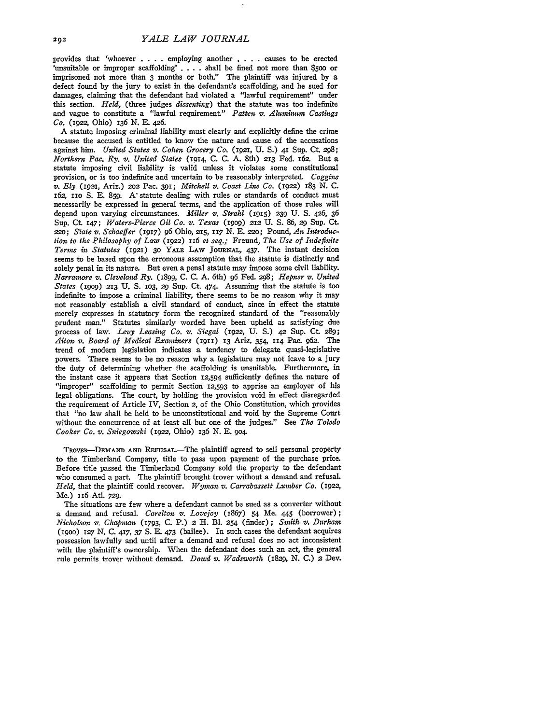provides that 'whoever **....** employing another . **.** . causes to be erected 'unsuitable or improper scaffolding' . . . . shall be fined not more than \$500 or imprisoned not more than **3** months or both." The plaintiff was injured by a defect found by the jury to exist in the defendant's scaffolding, and he sued for damages, claiming that the defendant had violated a "lawful requirement" under this section. Held, (three judges *dissenting)* that the statute was too indefinite and vague to constitute a "lawful requirement." *Patten v. Aluminum Castings Co.* (1922, Ohio) 136 *N.* **E.** 426.

A statute imposing criminal liability must clearly and explicitly define the crime because the accused is entitled to know the nature and cause of the accusations against him. *United States v. Cohen Grocery Co,* (1921, **U. S.)** 41 **Sup.** Ct. 298; *Northern Pac. Ry. v. United States* (1914, C. C. A. 8th) **213** Fed. 162. But a statute imposing civil liability is valid unless it violates some constitutional provision, or is too indefinite and uncertain to be reasonably interpreted. *Coggins v. Ely* **(1921,** Ariz.) **202** Pac. 391; *Mitchell v. Coast Line Co.* (1922) 183 N. C. 162, io S. E. 859. **A\*** statute dealing with rules or standards of conduct must necessarily be expressed in general terms, and the application of those rules will depend upon varying circumstances. *Miller v. Strahl* (1915) *239* **U.** S. 426, 36 Sup. **Ct.** 147; *Waters-Pierce Oil Co. v. Texas* (i9op) 212 **U. S.** 86, **29** Sup. Ct. **220;** *State v. Schaeffer (1917)* **96** Ohio, **215, 117 N. E.** 22o; Pound, *An Introduction. to the Philosophy of Law* (1922) 116 *et seq.;* Freund, *The Use of Indefinite Terms in Statutes* **(1921)** 3o YALE **LAW JOURNAL,** 437. The instant decision seems to be based upon the erroneous assumption that the statute is distinctly and solely penal in its nature. But even a penal statute may impose some civil liability. *Narranmre v. Cleveland Ry.* (1899, **C. C.** A. 6th) 96 Fed. **298;** *Hepner v. United States* (1909) 213 **U. S. 103, 29** Sup. Ct 474. Assuming that the statute is too indefinite to impose a criminal liability, there seems to be no reason why it may not reasonably establish a civil standard of conduct, since in effect the statute merely expresses in statutory form the recognized standard of the "reasonably prudent man." Statutes similarly worded have been upheld as satisfying due process of law. *Levy Leasing Co. v. Siegal* (1922, **U. S.)** 42 Sup. Ct 289; *Aiton v. Board of Medical Examiners* (1911) 13 Ariz. 354, **114** Pac. 962. The trend of modern legislation indicates a tendency to delegate quasi-legislative powers. There seems to be no reason why a legislature may not leave to a jury the duty of determining whether the scaffolding is unsuitable. Furthermore, in the instant case it appears that Section 12,594 sufficiently defines the nature of "improper" scaffolding to permit Section 12,593 to apprise an employer of his legal obligations. The court, by holding the provision void in effect disregarded the requirement of Article IV, Section 2, of the Ohio Constitution, which provides that "no law shall be held to be unconstitutional and void by the Supreme Court without the concurrence of at least all but one of the judges." See *The Toledo Cooker Co. v. Sniegowski* **(1922,** Ohio) 136 *N.* E. 9o4.

**TROVER-DEMAND AND** RErusAL.-The plaintiff agreed to sell personal property to the Timberland Company, title to pass upon payment of the purchase price. Before title passed the Timberland Company sold the property to the defendant who consumed a part. The plaintiff brought trover without a demand and refusal. *Held,* that the plaintiff could recover. *Wyman v. Carrabassett Lumber Co.* (1922, Me.) II6 Atl. **729.**

The situations are few where a defendant cannot be sued as a converter without a demand and refusal. *Carelton v. Lovejoy* (1867) 54 Me. 445 (borrower); *Nicholson v. Chapman* (1793, C. P.) 2 H. BI. 254 (finder); *Smith v. Durham* (igoo) 127 *N.* C. 417, 37 **S.** E. 473 (bailee). In such cases the defendant acquires possession lawfully and until after a demand and refusal does no act inconsistent with the plaintiff's ownership. When the defendant does such an act, the general rule permits trover without demand. *Dowd v. Wadsworth* (1829, **N.** C.) **2** Dev.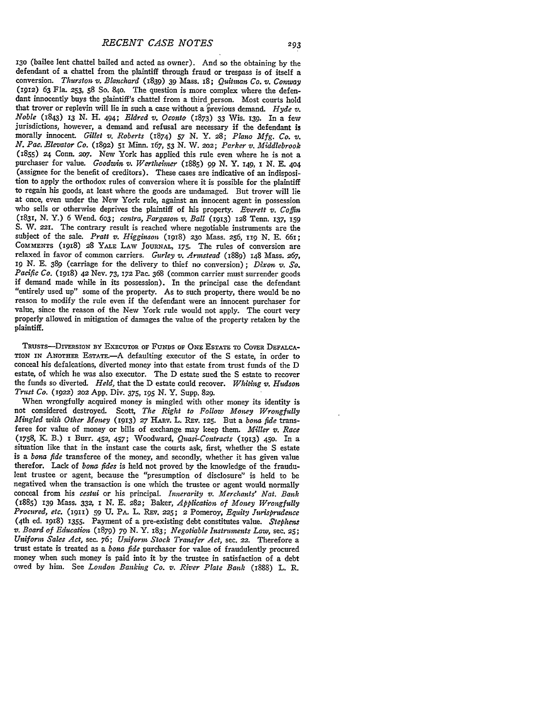**130** (bailee lent chattel bailed and acted as owner). And so the obtaining **by** the conversion. Thurston v. Blanchard (1839) 39 Mass. 18; Quitman Co. v. Conway (1912) **63** Fla. **253, 58** So. 84o. The question is more complex where the defendant innocently buys the plaintiff's chattel from a third person. Most courts hold that trover or replevin will lie in such a case without a previous demand. *Hyde v. Noble* (1843) **13 N. H.** 494; *Eldred v. Oconto* (1873) **33** Wis. 139. In a few jurisdictions, however, a demand and refusal are necessary if the defendant is morally innocent. Gillet v. Roberts (1874) 57 N. Y. 28; Plano Mfg. Co. v.<br>N. Pac. Elevator Co. (1892) 51 Minn. 167, 53 N. W. 202; Parker v. Middlebrook (1855) 24 Conn. 207. New York has applied this rule even where he is n **(I855)** 24 Conn. 2W. New York has applied this rule even where he is not a purchaser for value. *Goodwin v. Wertheiiner* (1885) **99 N.** Y. i49, *I* **N. E. 404** (assignee for the benefit of creditors). These cases are indicative of an indisposition to apply the orthodox rules of conversion where it is possible for the plaintiff to regain his goods, at least where the goods are undamaged. But trover will lie at once, even under the New York rule, against an innocent agent in possession who sells or otherwise deprives the plaintiff of his property. *Everett v. Coffin* (1831, **N.** Y.) **6** Wend. *603; contra, Fargason v. Ball* (1913) **x28** Tenn. **137, 159 S.** W. **2I.** The contrary result is reached where negotiable instruments are the subject of the sale. *Pratt v. Higginson* (I918) **23o** Mass. **256,** ug **N. E.** 661; **COMMENTS** (198) **28 YALE LAW JOURNAL, 175.** The rules of conversion are relaxed in favor of common carriers. *Gurley v. Armstead* (1889) **148 Mass. 267,** ig *N.* **E. 389** (carriage for the delivery to thief no conversion); *Dixon v. So. Pacific Co.* **(1918)** 42 Nev. **73, 172** Pac. **368** (common carrier must surrender goods if demand made while in its possession). In the principal case the defendant "entirely used up" some of the property. As to such property, there would be no reason to modify the rule even if the defendant were an innocent purchaser for value, since the reason of the New York rule would not apply. The court very properly allowed in mitigation of damages the value of the property retaken **by** the plaintiff.

TRUSTS-DIVERSION BY EXECUTOR OF FUNDS OF ONE ESTATE TO COVER DEFALCA-**TION IN ANOTHER** ESTATE.-A defaulting executor of the S estate, in order to conceal his defalcations, diverted money into that estate from trust funds of the D the funds so diverted. Held, that the D estate could recover. *Whiting v. Hudson Trust Co.* (1922) 202 App. Div. **375,** 195 *N.* Y. Supp. **829.**

When wrongfully acquired money is mingled with other money its identity is not considered destroyed. Scott, *The Right to Follow Money Wrongfully Mingled with Other Money* (1913) **27** HARV. L. REv. 125. But a *bona fide* transferee for value of money or bills of exchange may keep them. *Miller v. Race* (1758, K. B.) *I* Burr. 452, 457; Woodward, *Quasi-Contracts* **(1913) 450.** In a situation like that in the instant case the courts ask, first, whether the S estate is a *bona fide* transferee of the money, and secondly, whether it has given value therefor. Lack of *bona fides* is held not proved by the knowledge of the fraudulent trustee or agent, because the "presumption of disclosure" is held to be negatived when the transaction is one which the trustee or agent would normally conceal from his *cestui* or his principal. *Innerarity v. Merchants' Nat. Bank* (1885) **139** Mass. **332,** *I N.* E. **282;** Baker, *Application of Money Wrongfully Procured, etc.* **(1911) 59** U. PA. L. REv. **225; 2** Pomeroy, *Equity Jurisprudence* (4th ed. 1918) 1355. Payment of a pre-existing debt constitutes value. *Stephens v. Board of Education* (879) **79** *N.* Y. **183;** *Negotiable Imstruments Law,* sec. **25;** *Uniform Sales Act,* sec. 76; *Uniform Stock Transfer Act,* sec. 22. Therefore a trust estate is treated as a *bona fide* purchaser for value of fraudulently procured money when such money is paid into it **by** the trustee in satisfaction of a debt owed **by** him. See *London Banking Co. v. River Plate Bank* (1888) L. R.